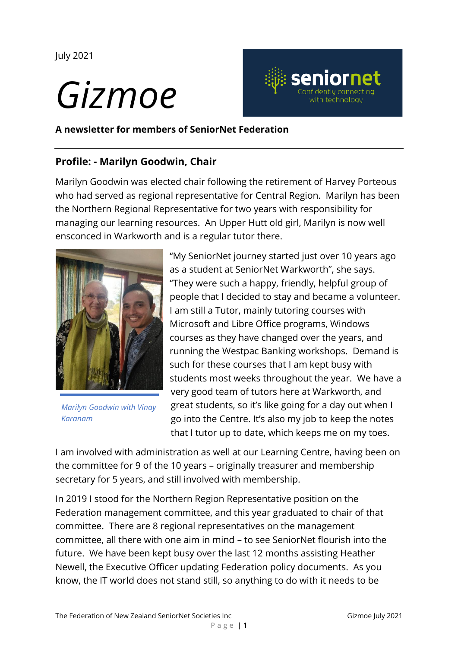July 2021

# *Gizmoe*



**A newsletter for members of SeniorNet Federation**

## **Profile: - Marilyn Goodwin, Chair**

Marilyn Goodwin was elected chair following the retirement of Harvey Porteous who had served as regional representative for Central Region. Marilyn has been the Northern Regional Representative for two years with responsibility for managing our learning resources. An Upper Hutt old girl, Marilyn is now well ensconced in Warkworth and is a regular tutor there.



*Marilyn Goodwin with Vinay Karanam*

"My SeniorNet journey started just over 10 years ago as a student at SeniorNet Warkworth", she says. "They were such a happy, friendly, helpful group of people that I decided to stay and became a volunteer. I am still a Tutor, mainly tutoring courses with Microsoft and Libre Office programs, Windows courses as they have changed over the years, and running the Westpac Banking workshops. Demand is such for these courses that I am kept busy with students most weeks throughout the year. We have a very good team of tutors here at Warkworth, and great students, so it's like going for a day out when I go into the Centre. It's also my job to keep the notes that I tutor up to date, which keeps me on my toes.

I am involved with administration as well at our Learning Centre, having been on the committee for 9 of the 10 years – originally treasurer and membership secretary for 5 years, and still involved with membership.

In 2019 I stood for the Northern Region Representative position on the Federation management committee, and this year graduated to chair of that committee. There are 8 regional representatives on the management committee, all there with one aim in mind – to see SeniorNet flourish into the future. We have been kept busy over the last 12 months assisting Heather Newell, the Executive Officer updating Federation policy documents. As you know, the IT world does not stand still, so anything to do with it needs to be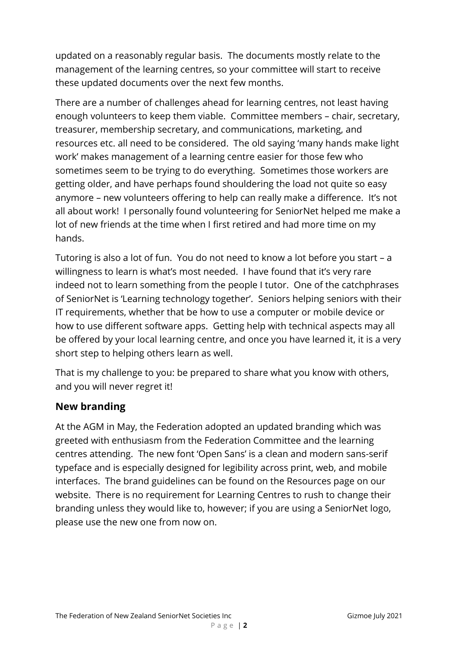updated on a reasonably regular basis. The documents mostly relate to the management of the learning centres, so your committee will start to receive these updated documents over the next few months.

There are a number of challenges ahead for learning centres, not least having enough volunteers to keep them viable. Committee members – chair, secretary, treasurer, membership secretary, and communications, marketing, and resources etc. all need to be considered. The old saying 'many hands make light work' makes management of a learning centre easier for those few who sometimes seem to be trying to do everything. Sometimes those workers are getting older, and have perhaps found shouldering the load not quite so easy anymore – new volunteers offering to help can really make a difference. It's not all about work! I personally found volunteering for SeniorNet helped me make a lot of new friends at the time when I first retired and had more time on my hands.

Tutoring is also a lot of fun. You do not need to know a lot before you start – a willingness to learn is what's most needed. I have found that it's very rare indeed not to learn something from the people I tutor. One of the catchphrases of SeniorNet is 'Learning technology together'. Seniors helping seniors with their IT requirements, whether that be how to use a computer or mobile device or how to use different software apps. Getting help with technical aspects may all be offered by your local learning centre, and once you have learned it, it is a very short step to helping others learn as well.

That is my challenge to you: be prepared to share what you know with others, and you will never regret it!

## **New branding**

At the AGM in May, the Federation adopted an updated branding which was greeted with enthusiasm from the Federation Committee and the learning centres attending. The new font 'Open Sans' is a clean and modern sans-serif typeface and is especially designed for legibility across print, web, and mobile interfaces. The brand guidelines can be found on the Resources page on our website. There is no requirement for Learning Centres to rush to change their branding unless they would like to, however; if you are using a SeniorNet logo, please use the new one from now on.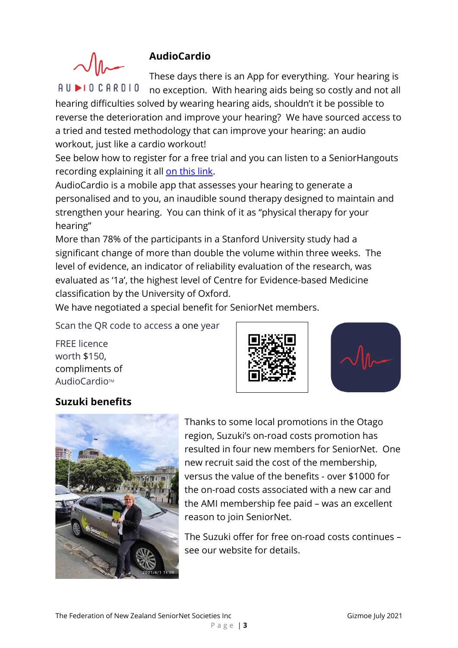## **AudioCardio**



AUDIOCARDIO

These days there is an App for everything. Your hearing is no exception. With hearing aids being so costly and not all

hearing difficulties solved by wearing hearing aids, shouldn't it be possible to reverse the deterioration and improve your hearing? We have sourced access to a tried and tested methodology that can improve your hearing: an audio workout, just like a cardio workout!

See below how to register for a free trial and you can listen to a SeniorHangouts recording explaining it all [on this link.](https://drive.google.com/file/d/1zPWKG4Uj2ahIOOKvOlmY3Vmz4o_PNc8-/view?usp=sharing)

AudioCardio is a mobile app that assesses your hearing to generate a personalised and to you, an inaudible sound therapy designed to maintain and strengthen your hearing. You can think of it as "physical therapy for your hearing"

More than 78% of the participants in a Stanford University study had a significant change of more than double the volume within three weeks. The level of evidence, an indicator of reliability evaluation of the research, was evaluated as '1a', the highest level of Centre for Evidence-based Medicine classification by the University of Oxford.

P a g e | **3**

We have negotiated a special benefit for SeniorNet members.

Scan the QR code to access a one year

FREE licence worth \$150, compliments of AudioCardio™





## **Suzuki benefits**



Thanks to some local promotions in the Otago region, Suzuki's on-road costs promotion has resulted in four new members for SeniorNet. One new recruit said the cost of the membership, versus the value of the benefits - over \$1000 for the on-road costs associated with a new car and the AMI membership fee paid – was an excellent reason to join SeniorNet.

The Suzuki offer for free on-road costs continues – see our website for details.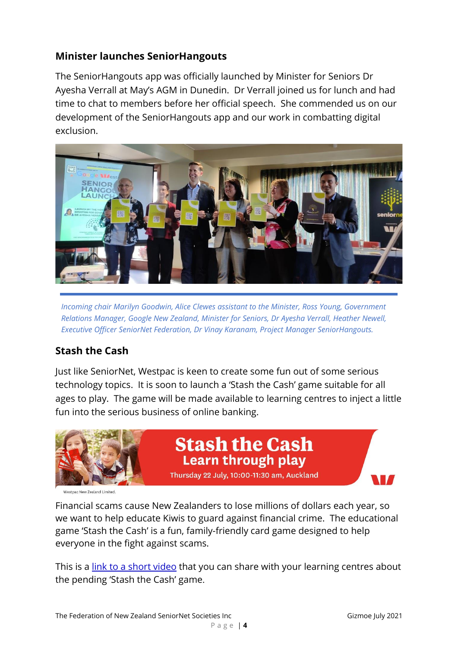## **Minister launches SeniorHangouts**

The SeniorHangouts app was officially launched by Minister for Seniors Dr Ayesha Verrall at May's AGM in Dunedin. Dr Verrall joined us for lunch and had time to chat to members before her official speech. She commended us on our development of the SeniorHangouts app and our work in combatting digital exclusion.



*Incoming chair Marilyn Goodwin, Alice Clewes assistant to the Minister, Ross Young, Government Relations Manager, Google New Zealand, Minister for Seniors, Dr Ayesha Verrall, Heather Newell, Executive Officer SeniorNet Federation, Dr Vinay Karanam, Project Manager SeniorHangouts.*

# **Stash the Cash**

Just like SeniorNet, Westpac is keen to create some fun out of some serious technology topics. It is soon to launch a 'Stash the Cash' game suitable for all ages to play. The game will be made available to learning centres to inject a little fun into the serious business of online banking.



**Stash the Cash** Learn through play Thursday 22 July, 10:00-11:30 am, Auckland

ang Now Zooland Limited

Financial scams cause New Zealanders to lose millions of dollars each year, so we want to help educate Kiwis to guard against financial crime. The educational game 'Stash the Cash' is a fun, family-friendly card game designed to help everyone in the fight against scams.

This is a [link to a short](https://vimeo.com/562977687/aa9a49f194) video that you can share with your learning centres about the pending 'Stash the Cash' game.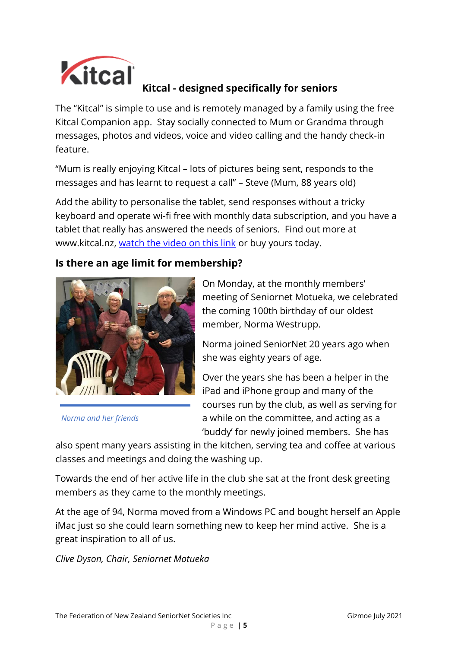

# **Kitcal - designed specifically for seniors**

The "Kitcal" is simple to use and is remotely managed by a family using the free Kitcal Companion app. Stay socially connected to Mum or Grandma through messages, photos and videos, voice and video calling and the handy check-in feature.

"Mum is really enjoying Kitcal – lots of pictures being sent, responds to the messages and has learnt to request a call" – Steve (Mum, 88 years old)

Add the ability to personalise the tablet, send responses without a tricky keyboard and operate wi-fi free with monthly data subscription, and you have a tablet that really has answered the needs of seniors. Find out more at [www.kitcal.nz,](https://kitcal.us3.list-manage.com/track/click?u=3ea8f160e6e95f60dd8634de0&id=1a3cebbe69&e=62517faf65) [watch the video on this link](https://kitcal.nz/wp-content/uploads/2020/10/Kitcal_video_V4-2.mp4) or buy yours today.

#### **Is there an age limit for membership?**



*Norma and her friends*

On Monday, at the monthly members' meeting of Seniornet Motueka, we celebrated the coming 100th birthday of our oldest member, Norma Westrupp.

Norma joined SeniorNet 20 years ago when she was eighty years of age.

Over the years she has been a helper in the iPad and iPhone group and many of the courses run by the club, as well as serving for a while on the committee, and acting as a 'buddy' for newly joined members. She has

also spent many years assisting in the kitchen, serving tea and coffee at various classes and meetings and doing the washing up.

Towards the end of her active life in the club she sat at the front desk greeting members as they came to the monthly meetings.

At the age of 94, Norma moved from a Windows PC and bought herself an Apple iMac just so she could learn something new to keep her mind active. She is a great inspiration to all of us.

*Clive Dyson, Chair, Seniornet Motueka*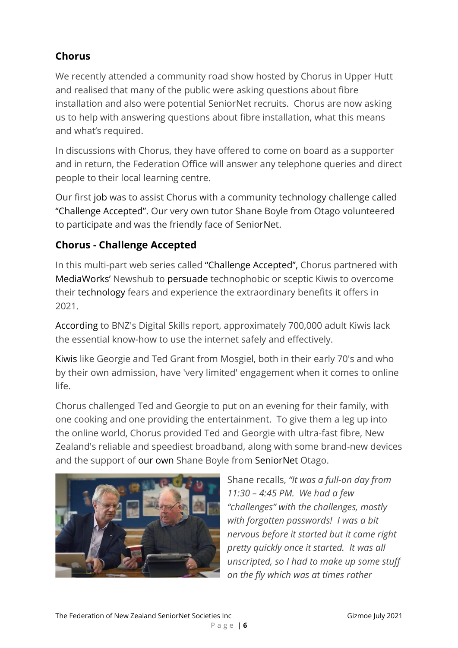# **Chorus**

We recently attended a community road show hosted by Chorus in Upper Hutt and realised that many of the public were asking questions about fibre installation and also were potential SeniorNet recruits. Chorus are now asking us to help with answering questions about fibre installation, what this means and what's required.

In discussions with Chorus, they have offered to come on board as a supporter and in return, the Federation Office will answer any telephone queries and direct people to their local learning centre.

Our first job was to assist Chorus with a community technology challenge called "Challenge Accepted". Our very own tutor Shane Boyle from Otago volunteered to participate and was the friendly face of SeniorNet.

# **Chorus - Challenge Accepted**

In this multi-part web series called "Challenge Accepted", Chorus partnered with MediaWorks' Newshub to persuade technophobic or sceptic Kiwis to overcome their technology fears and experience the extraordinary benefits it offers in 2021.

According to BNZ's Digital Skills report, approximately 700,000 adult Kiwis lack the essential know-how to use the internet safely and effectively.

Kiwis like Georgie and Ted Grant from Mosgiel, both in their early 70's and who by their own admission, have 'very limited' engagement when it comes to online life.

Chorus challenged Ted and Georgie to put on an evening for their family, with one cooking and one providing the entertainment. To give them a leg up into the online world, Chorus provided Ted and Georgie with ultra-fast fibre, New Zealand's reliable and speediest broadband, along with some brand-new devices and the support of our own Shane Boyle from SeniorNet Otago.



Shane recalls, *"It was a full-on day from 11:30 – 4:45 PM. We had a few "challenges" with the challenges, mostly with forgotten passwords! I was a bit nervous before it started but it came right pretty quickly once it started. It was all unscripted, so I had to make up some stuff on the fly which was at times rather*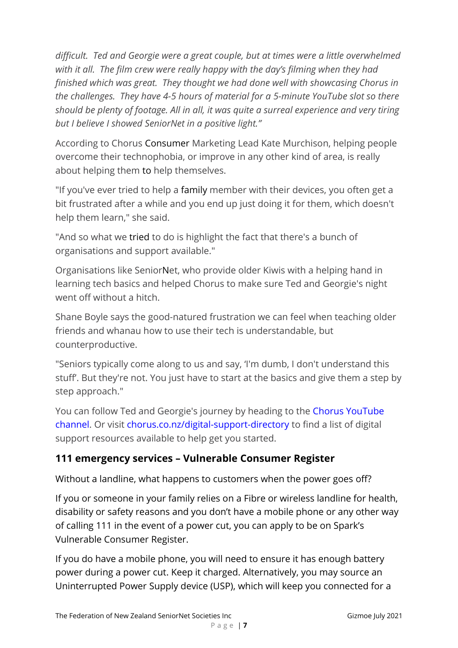*difficult. Ted and Georgie were a great couple, but at times were a little overwhelmed with it all. The film crew were really happy with the day's filming when they had finished which was great. They thought we had done well with showcasing Chorus in the challenges. They have 4-5 hours of material for a 5-minute YouTube slot so there should be plenty of footage. All in all, it was quite a surreal experience and very tiring but I believe I showed SeniorNet in a positive light."*

According to Chorus Consumer Marketing Lead Kate Murchison, helping people overcome their technophobia, or improve in any other kind of area, is really about helping them to help themselves.

"If you've ever tried to help a family member with their devices, you often get a bit frustrated after a while and you end up just doing it for them, which doesn't help them learn," she said.

"And so what we tried to do is highlight the fact that there's a bunch of organisations and support available."

Organisations like SeniorNet, who provide older Kiwis with a helping hand in learning tech basics and helped Chorus to make sure Ted and Georgie's night went off without a hitch.

Shane Boyle says the good-natured frustration we can feel when teaching older friends and whanau how to use their tech is understandable, but counterproductive.

"Seniors typically come along to us and say, 'I'm dumb, I don't understand this stuff'. But they're not. You just have to start at the basics and give them a step by step approach."

You can follow Ted and Georgie's journey by heading to the Chorus [YouTube](https://www.youtube.com/c/ChorusNewZealand/featured) [channel.](https://www.youtube.com/c/ChorusNewZealand/featured) Or visit [chorus.co.nz/digital-support-directory](http://chorus.co.nz/digital-support-directory) to find a list of digital support resources available to help get you started.

# **111 emergency services – Vulnerable Consumer Register**

Without a landline, what happens to customers when the power goes off?

If you or someone in your family relies on a Fibre or wireless landline for health, disability or safety reasons and you don't have a mobile phone or any other way of calling 111 in the event of a power cut, you can apply to be on Spark's Vulnerable Consumer Register.

If you do have a mobile phone, you will need to ensure it has enough battery power during a power cut. Keep it charged. Alternatively, you may source an Uninterrupted Power Supply device (USP), which will keep you connected for a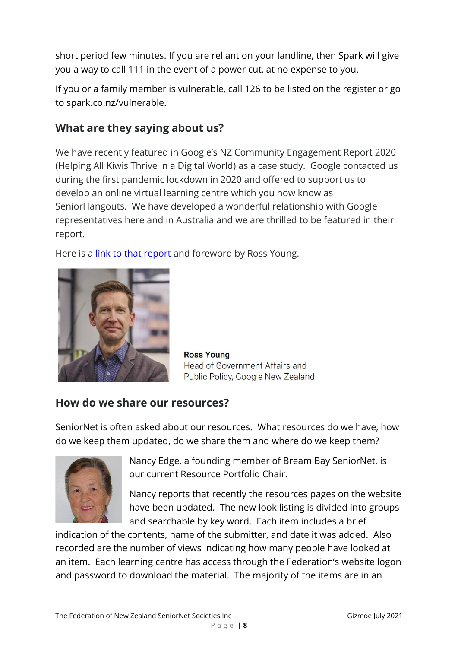short period few minutes. If you are reliant on your landline, then Spark will give you a way to call 111 in the event of a power cut, at no expense to you.

If you or a family member is vulnerable, call 126 to be listed on the register or go to spark.co.nz/vulnerable.

# **What are they saying about us?**

We have recently featured in Google's NZ Community Engagement Report 2020 (Helping All Kiwis Thrive in a Digital World) as a case study. Google contacted us during the first pandemic lockdown in 2020 and offered to support us to develop an online virtual learning centre which you now know as SeniorHangouts. We have developed a wonderful relationship with Google representatives here and in Australia and we are thrilled to be featured in their report.

Here is a [link to that report](https://mk0socialventuraff85.kinstacdn.com/assets/SVA_Google_NZ_report_2021.pdf) and foreword by Ross Young.



**Ross Young** Head of Government Affairs and Public Policy, Google New Zealand

# **How do we share our resources?**

SeniorNet is often asked about our resources. What resources do we have, how do we keep them updated, do we share them and where do we keep them?



Nancy Edge, a founding member of Bream Bay SeniorNet, is our current Resource Portfolio Chair.

Nancy reports that recently the resources pages on the website have been updated. The new look listing is divided into groups and searchable by key word. Each item includes a brief

indication of the contents, name of the submitter, and date it was added. Also recorded are the number of views indicating how many people have looked at an item. Each learning centre has access through the Federation's website logon and password to download the material. The majority of the items are in an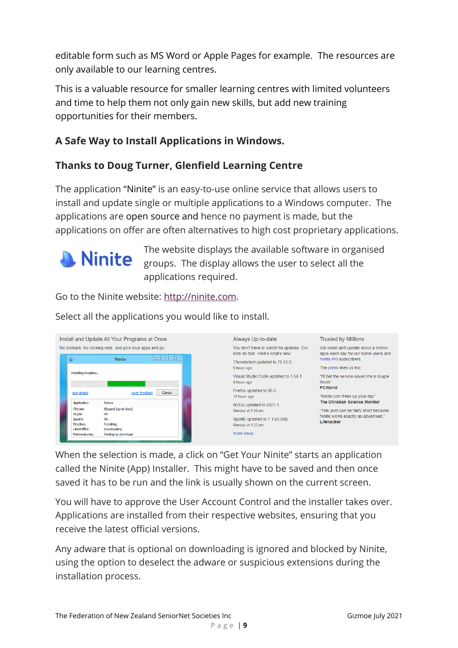editable form such as MS Word or Apple Pages for example. The resources are only available to our learning centres.

This is a valuable resource for smaller learning centres with limited volunteers and time to help them not only gain new skills, but add new training opportunities for their members.

# **A Safe Way to Install Applications in Windows.**

## **Thanks to Doug Turner, Glenfield Learning Centre**

The application "Ninite" is an easy-to-use online service that allows users to install and update single or multiple applications to a Windows computer. The applications are open source and hence no payment is made, but the applications on offer are often alternatives to high cost proprietary applications.



The website displays the available software in organised **Ninite** groups. The display allows the user to select all the applications required.

Go to the Ninite website: [http://ninite.com.](http://ninite.com/)

Select all the applications you would like to install.



Always Up-to-date You don't have to watch for updates. Our We install and update about a million hots do that Here's what's new: Thunderbird undated to 78.12.0 5 hours ago Visual Studio Code updated to 1.58.1. 6 hours ago Firefox updated to 90.0. 12 hours ago NVDA updated to 2021.1. Monday at 1:58 pm Spotify updated to 1.1.63.568. Monday at 1:22 pm more news

**Trusted by Millions** 

apps each day for our home users and apps each day for our t<br>Ninite Pro subscribers.

The press likes us too:

"I'll bet the service saved me a couple houre<sup>1</sup> PCWorld "Ninite com frees up your day"

The Christian Science Monitor

"This post can be fairly short because Ninite works exactly as advertised." Lifehacker

When the selection is made, a click on "Get Your Ninite" starts an application called the Ninite (App) Installer. This might have to be saved and then once saved it has to be run and the link is usually shown on the current screen.

You will have to approve the User Account Control and the installer takes over. Applications are installed from their respective websites, ensuring that you receive the latest official versions.

Any adware that is optional on downloading is ignored and blocked by Ninite, using the option to deselect the adware or suspicious extensions during the installation process.